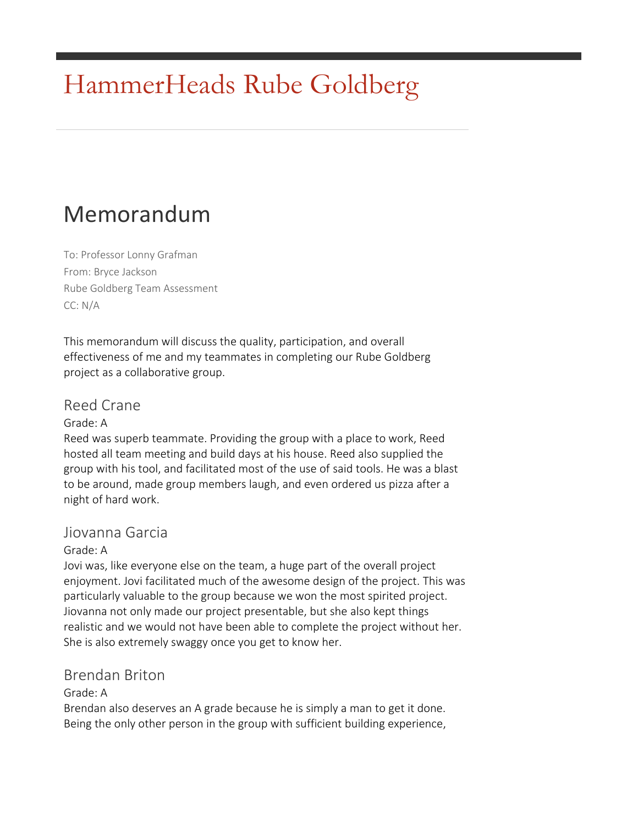# HammerHeads Rube Goldberg

# Memorandum

To: Professor Lonny Grafman From: Bryce Jackson Rube Goldberg Team Assessment CC: N/A

This memorandum will discuss the quality, participation, and overall effectiveness of me and my teammates in completing our Rube Goldberg project as a collaborative group.

# Reed Crane

Grade: A

Reed was superb teammate. Providing the group with a place to work, Reed hosted all team meeting and build days at his house. Reed also supplied the group with his tool, and facilitated most of the use of said tools. He was a blast to be around, made group members laugh, and even ordered us pizza after a night of hard work.

# Jiovanna Garcia

#### Grade: A

Jovi was, like everyone else on the team, a huge part of the overall project enjoyment. Jovi facilitated much of the awesome design of the project. This was particularly valuable to the group because we won the most spirited project. Jiovanna not only made our project presentable, but she also kept things realistic and we would not have been able to complete the project without her. She is also extremely swaggy once you get to know her.

# Brendan Briton

#### Grade: A

Brendan also deserves an A grade because he is simply a man to get it done. Being the only other person in the group with sufficient building experience,